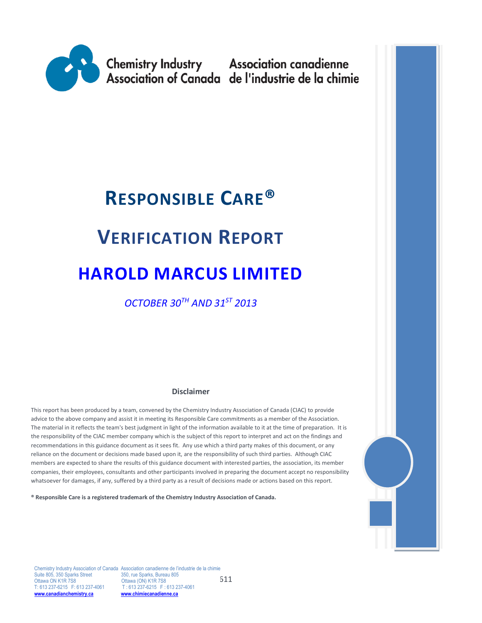

# **RESPONSIBLE CARE®**

# **VERIFICATION REPORT**

# **HAROLD MARCUS LIMITED**

*OCTOBER 30TH AND 31ST 2013*

#### **Disclaimer**

This report has been produced by a team, convened by the Chemistry Industry Association of Canada (CIAC) to provide advice to the above company and assist it in meeting its Responsible Care commitments as a member of the Association. The material in it reflects the team's best judgment in light of the information available to it at the time of preparation. It is the responsibility of the CIAC member company which is the subject of this report to interpret and act on the findings and recommendations in this guidance document as it sees fit. Any use which a third party makes of this document, or any reliance on the document or decisions made based upon it, are the responsibility of such third parties. Although CIAC members are expected to share the results of this guidance document with interested parties, the association, its member companies, their employees, consultants and other participants involved in preparing the document accept no responsibility whatsoever for damages, if any, suffered by a third party as a result of decisions made or actions based on this report.

**® Responsible Care is a registered trademark of the Chemistry Industry Association of Canada.** 



611 Chemistry Industry Association of Canada Association canadienne de l'industrie de la chimie Suite 805, 350 Sparks Street 350, rue Sparks, Bureau 805<br>Ottawa ON K1R 7S8 0ttawa (ON) K1R 7S8 Ottawa ON K1R 7S8 Ottawa (ON) K1R 7S8<br>T: 613 237-6215 F: 613 237-4061 T: 613 237-6215 F: 6 T: 613 237-6215 F: 613 237-4061<br>**www.chimiecanadienne.ca [www.canadianchemistry.ca](http://www.canadianchemistry.ca/) [www.chimiecanadienne.ca](http://www.chimiecanadienne.ca/)**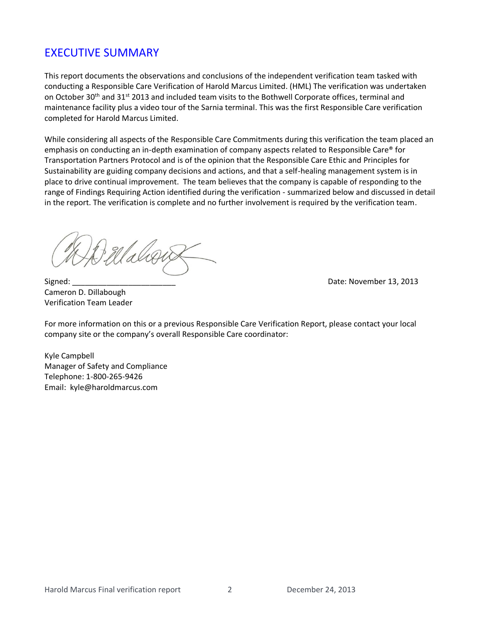# EXECUTIVE SUMMARY

This report documents the observations and conclusions of the independent verification team tasked with conducting a Responsible Care Verification of Harold Marcus Limited. (HML) The verification was undertaken on October 30<sup>th</sup> and 31<sup>st</sup> 2013 and included team visits to the Bothwell Corporate offices, terminal and maintenance facility plus a video tour of the Sarnia terminal. This was the first Responsible Care verification completed for Harold Marcus Limited.

While considering all aspects of the Responsible Care Commitments during this verification the team placed an emphasis on conducting an in-depth examination of company aspects related to Responsible Care® for Transportation Partners Protocol and is of the opinion that the Responsible Care Ethic and Principles for Sustainability are guiding company decisions and actions, and that a self-healing management system is in place to drive continual improvement. The team believes that the company is capable of responding to the range of Findings Requiring Action identified during the verification - summarized below and discussed in detail in the report. The verification is complete and no further involvement is required by the verification team.

Waliou

Cameron D. Dillabough Verification Team Leader

Signed: \_\_\_\_\_\_\_\_\_\_\_\_\_\_\_\_\_\_\_\_\_\_\_\_ Date: November 13, 2013

For more information on this or a previous Responsible Care Verification Report, please contact your local company site or the company's overall Responsible Care coordinator:

Kyle Campbell Manager of Safety and Compliance Telephone: 1-800-265-9426 Email: kyle@haroldmarcus.com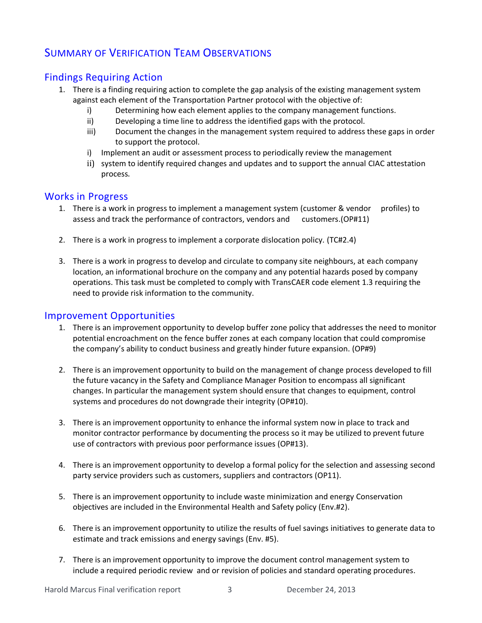# SUMMARY OF VERIFICATION TEAM OBSERVATIONS

## Findings Requiring Action

- 1. There is a finding requiring action to complete the gap analysis of the existing management system against each element of the Transportation Partner protocol with the objective of:
	- i) Determining how each element applies to the company management functions.
	- ii) Developing a time line to address the identified gaps with the protocol.
	- iii) Document the changes in the management system required to address these gaps in order to support the protocol.
	- i) Implement an audit or assessment process to periodically review the management
	- ii) system to identify required changes and updates and to support the annual CIAC attestation process.

## Works in Progress

- 1. There is a work in progress to implement a management system (customer & vendor profiles) to assess and track the performance of contractors, vendors and customers.(OP#11)
- 2. There is a work in progress to implement a corporate dislocation policy. (TC#2.4)
- 3. There is a work in progress to develop and circulate to company site neighbours, at each company location, an informational brochure on the company and any potential hazards posed by company operations. This task must be completed to comply with TransCAER code element 1.3 requiring the need to provide risk information to the community.

## Improvement Opportunities

- 1. There is an improvement opportunity to develop buffer zone policy that addresses the need to monitor potential encroachment on the fence buffer zones at each company location that could compromise the company's ability to conduct business and greatly hinder future expansion. (OP#9)
- 2. There is an improvement opportunity to build on the management of change process developed to fill the future vacancy in the Safety and Compliance Manager Position to encompass all significant changes. In particular the management system should ensure that changes to equipment, control systems and procedures do not downgrade their integrity (OP#10).
- 3. There is an improvement opportunity to enhance the informal system now in place to track and monitor contractor performance by documenting the process so it may be utilized to prevent future use of contractors with previous poor performance issues (OP#13).
- 4. There is an improvement opportunity to develop a formal policy for the selection and assessing second party service providers such as customers, suppliers and contractors (OP11).
- 5. There is an improvement opportunity to include waste minimization and energy Conservation objectives are included in the Environmental Health and Safety policy (Env.#2).
- 6. There is an improvement opportunity to utilize the results of fuel savings initiatives to generate data to estimate and track emissions and energy savings (Env. #5).
- 7. There is an improvement opportunity to improve the document control management system to include a required periodic review and or revision of policies and standard operating procedures.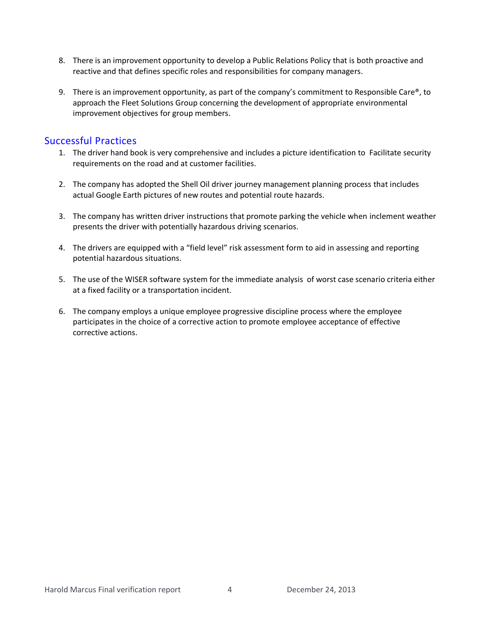- 8. There is an improvement opportunity to develop a Public Relations Policy that is both proactive and reactive and that defines specific roles and responsibilities for company managers.
- 9. There is an improvement opportunity, as part of the company's commitment to Responsible Care<sup>®</sup>, to approach the Fleet Solutions Group concerning the development of appropriate environmental improvement objectives for group members.

## Successful Practices

- 1. The driver hand book is very comprehensive and includes a picture identification to Facilitate security requirements on the road and at customer facilities.
- 2. The company has adopted the Shell Oil driver journey management planning process that includes actual Google Earth pictures of new routes and potential route hazards.
- 3. The company has written driver instructions that promote parking the vehicle when inclement weather presents the driver with potentially hazardous driving scenarios.
- 4. The drivers are equipped with a "field level" risk assessment form to aid in assessing and reporting potential hazardous situations.
- 5. The use of the WISER software system for the immediate analysis of worst case scenario criteria either at a fixed facility or a transportation incident.
- 6. The company employs a unique employee progressive discipline process where the employee participates in the choice of a corrective action to promote employee acceptance of effective corrective actions.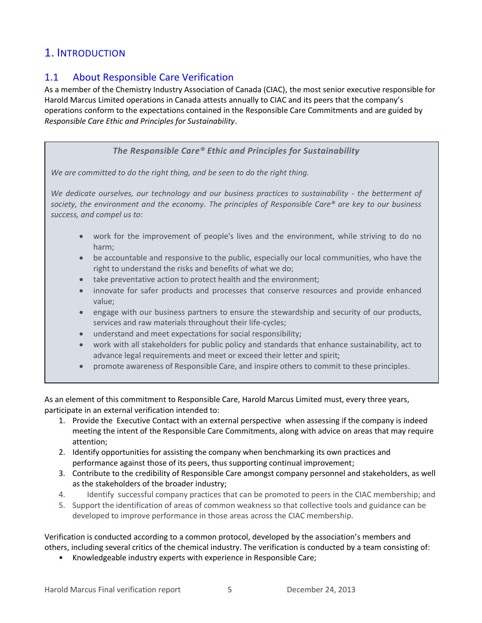# 1. INTRODUCTION

## 1.1 About Responsible Care Verification

As a member of the Chemistry Industry Association of Canada (CIAC), the most senior executive responsible for Harold Marcus Limited operations in Canada attests annually to CIAC and its peers that the company's operations conform to the expectations contained in the Responsible Care Commitments and are guided by *Responsible Care Ethic and Principles for Sustainability*.

### *The Responsible Care® Ethic and Principles for Sustainability*

*We are committed to do the right thing, and be seen to do the right thing.*

*We dedicate ourselves, our technology and our business practices to sustainability - the betterment of society, the environment and the economy. The principles of Responsible Care® are key to our business success, and compel us to*:

- work for the improvement of people's lives and the environment, while striving to do no harm;
- be accountable and responsive to the public, especially our local communities, who have the right to understand the risks and benefits of what we do;
- take preventative action to protect health and the environment;
- innovate for safer products and processes that conserve resources and provide enhanced value;
- engage with our business partners to ensure the stewardship and security of our products, services and raw materials throughout their life-cycles;
- understand and meet expectations for social responsibility;
- work with all stakeholders for public policy and standards that enhance sustainability, act to advance legal requirements and meet or exceed their letter and spirit;
- promote awareness of Responsible Care, and inspire others to commit to these principles.

As an element of this commitment to Responsible Care, Harold Marcus Limited must, every three years, participate in an external verification intended to:

- 1. Provide the Executive Contact with an external perspective when assessing if the company is indeed meeting the intent of the Responsible Care Commitments, along with advice on areas that may require attention;
- 2. Identify opportunities for assisting the company when benchmarking its own practices and performance against those of its peers, thus supporting continual improvement;
- 3. Contribute to the credibility of Responsible Care amongst company personnel and stakeholders, as well as the stakeholders of the broader industry;
- 4. Identify successful company practices that can be promoted to peers in the CIAC membership; and
- 5. Support the identification of areas of common weakness so that collective tools and guidance can be developed to improve performance in those areas across the CIAC membership.

Verification is conducted according to a common protocol, developed by the association's members and others, including several critics of the chemical industry. The verification is conducted by a team consisting of:

• Knowledgeable industry experts with experience in Responsible Care;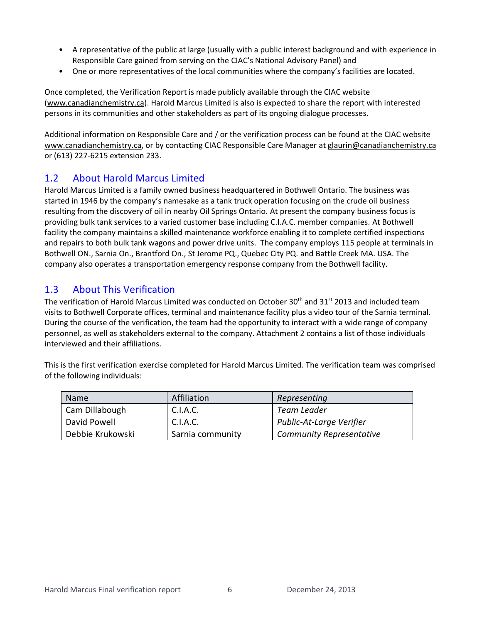- A representative of the public at large (usually with a public interest background and with experience in Responsible Care gained from serving on the CIAC's National Advisory Panel) and
- One or more representatives of the local communities where the company's facilities are located.

Once completed, the Verification Report is made publicly available through the CIAC website [\(www.canadianchemistry.ca\)](http://www.canadianchemistry.ca/). Harold Marcus Limited is also is expected to share the report with interested persons in its communities and other stakeholders as part of its ongoing dialogue processes.

Additional information on Responsible Care and / or the verification process can be found at the CIAC website [www.canadianchemistry.ca,](http://www.canadianchemistry.ca/) or by contacting CIAC Responsible Care Manager at [glaurin@canadianchemistry.ca](mailto:glaurin@canadianchemistry.ca) or (613) 227-6215 extension 233.

## 1.2 About Harold Marcus Limited

Harold Marcus Limited is a family owned business headquartered in Bothwell Ontario. The business was started in 1946 by the company's namesake as a tank truck operation focusing on the crude oil business resulting from the discovery of oil in nearby Oil Springs Ontario. At present the company business focus is providing bulk tank services to a varied customer base including C.I.A.C. member companies. At Bothwell facility the company maintains a skilled maintenance workforce enabling it to complete certified inspections and repairs to both bulk tank wagons and power drive units. The company employs 115 people at terminals in Bothwell ON., Sarnia On., Brantford On., St Jerome PQ., Quebec City PQ. and Battle Creek MA. USA. The company also operates a transportation emergency response company from the Bothwell facility.

## 1.3 About This Verification

The verification of Harold Marcus Limited was conducted on October 30<sup>th</sup> and 31<sup>st</sup> 2013 and included team visits to Bothwell Corporate offices, terminal and maintenance facility plus a video tour of the Sarnia terminal. During the course of the verification, the team had the opportunity to interact with a wide range of company personnel, as well as stakeholders external to the company. Attachment 2 contains a list of those individuals interviewed and their affiliations.

This is the first verification exercise completed for Harold Marcus Limited. The verification team was comprised of the following individuals:

| Name             | Affiliation      | Representing                    |
|------------------|------------------|---------------------------------|
| Cam Dillabough   | C.I.A.C.         | Team Leader                     |
| David Powell     | C.I.A.C.         | Public-At-Large Verifier        |
| Debbie Krukowski | Sarnia community | <b>Community Representative</b> |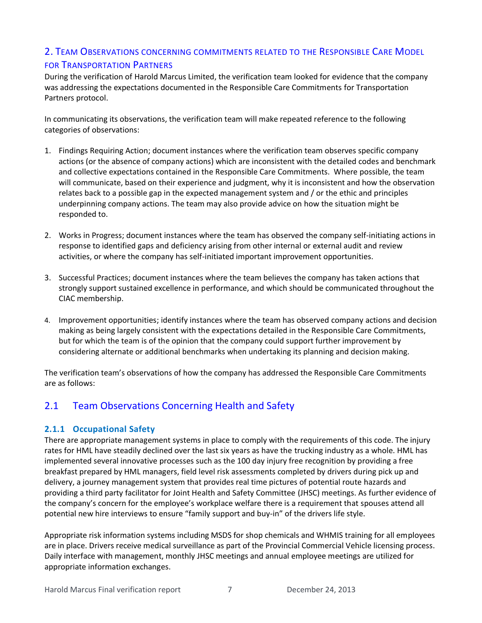## 2. TEAM OBSERVATIONS CONCERNING COMMITMENTS RELATED TO THE RESPONSIBLE CARE MODEL FOR TRANSPORTATION PARTNERS

During the verification of Harold Marcus Limited, the verification team looked for evidence that the company was addressing the expectations documented in the Responsible Care Commitments for Transportation Partners protocol.

In communicating its observations, the verification team will make repeated reference to the following categories of observations:

- 1. Findings Requiring Action; document instances where the verification team observes specific company actions (or the absence of company actions) which are inconsistent with the detailed codes and benchmark and collective expectations contained in the Responsible Care Commitments. Where possible, the team will communicate, based on their experience and judgment, why it is inconsistent and how the observation relates back to a possible gap in the expected management system and / or the ethic and principles underpinning company actions. The team may also provide advice on how the situation might be responded to.
- 2. Works in Progress; document instances where the team has observed the company self-initiating actions in response to identified gaps and deficiency arising from other internal or external audit and review activities, or where the company has self-initiated important improvement opportunities.
- 3. Successful Practices; document instances where the team believes the company has taken actions that strongly support sustained excellence in performance, and which should be communicated throughout the CIAC membership.
- 4. Improvement opportunities; identify instances where the team has observed company actions and decision making as being largely consistent with the expectations detailed in the Responsible Care Commitments, but for which the team is of the opinion that the company could support further improvement by considering alternate or additional benchmarks when undertaking its planning and decision making.

The verification team's observations of how the company has addressed the Responsible Care Commitments are as follows:

## 2.1 Team Observations Concerning Health and Safety

## **2.1.1 Occupational Safety**

There are appropriate management systems in place to comply with the requirements of this code. The injury rates for HML have steadily declined over the last six years as have the trucking industry as a whole. HML has implemented several innovative processes such as the 100 day injury free recognition by providing a free breakfast prepared by HML managers, field level risk assessments completed by drivers during pick up and delivery, a journey management system that provides real time pictures of potential route hazards and providing a third party facilitator for Joint Health and Safety Committee (JHSC) meetings. As further evidence of the company's concern for the employee's workplace welfare there is a requirement that spouses attend all potential new hire interviews to ensure "family support and buy-in" of the drivers life style.

Appropriate risk information systems including MSDS for shop chemicals and WHMIS training for all employees are in place. Drivers receive medical surveillance as part of the Provincial Commercial Vehicle licensing process. Daily interface with management, monthly JHSC meetings and annual employee meetings are utilized for appropriate information exchanges.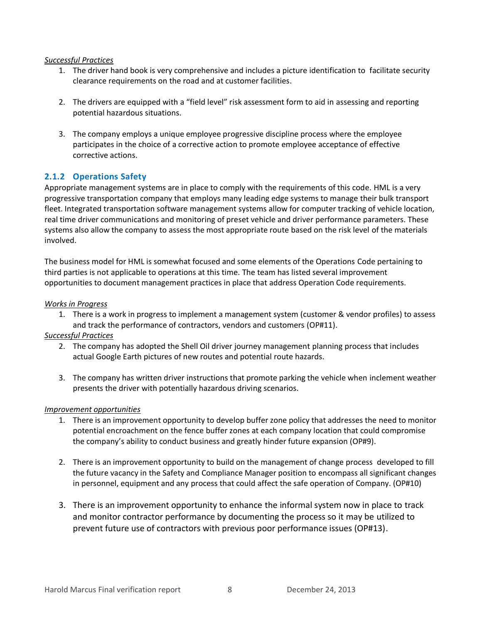#### *Successful Practices*

- 1. The driver hand book is very comprehensive and includes a picture identification to facilitate security clearance requirements on the road and at customer facilities.
- 2. The drivers are equipped with a "field level" risk assessment form to aid in assessing and reporting potential hazardous situations.
- 3. The company employs a unique employee progressive discipline process where the employee participates in the choice of a corrective action to promote employee acceptance of effective corrective actions.

### **2.1.2 Operations Safety**

Appropriate management systems are in place to comply with the requirements of this code. HML is a very progressive transportation company that employs many leading edge systems to manage their bulk transport fleet. Integrated transportation software management systems allow for computer tracking of vehicle location, real time driver communications and monitoring of preset vehicle and driver performance parameters. These systems also allow the company to assess the most appropriate route based on the risk level of the materials involved.

The business model for HML is somewhat focused and some elements of the Operations Code pertaining to third parties is not applicable to operations at this time. The team has listed several improvement opportunities to document management practices in place that address Operation Code requirements.

#### *Works in Progress*

1. There is a work in progress to implement a management system (customer & vendor profiles) to assess and track the performance of contractors, vendors and customers (OP#11).

#### *Successful Practices*

- 2. The company has adopted the Shell Oil driver journey management planning process that includes actual Google Earth pictures of new routes and potential route hazards.
- 3. The company has written driver instructions that promote parking the vehicle when inclement weather presents the driver with potentially hazardous driving scenarios.

#### *Improvement opportunities*

- 1. There is an improvement opportunity to develop buffer zone policy that addresses the need to monitor potential encroachment on the fence buffer zones at each company location that could compromise the company's ability to conduct business and greatly hinder future expansion (OP#9).
- 2. There is an improvement opportunity to build on the management of change process developed to fill the future vacancy in the Safety and Compliance Manager position to encompass all significant changes in personnel, equipment and any process that could affect the safe operation of Company. (OP#10)
- 3. There is an improvement opportunity to enhance the informal system now in place to track and monitor contractor performance by documenting the process so it may be utilized to prevent future use of contractors with previous poor performance issues (OP#13).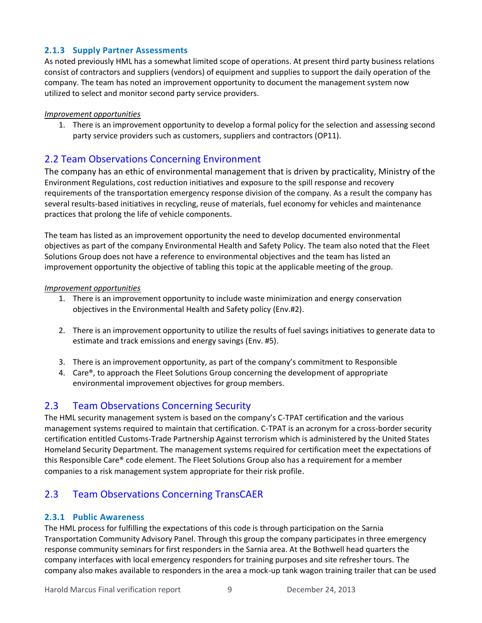### **2.1.3 Supply Partner Assessments**

As noted previously HML has a somewhat limited scope of operations. At present third party business relations consist of contractors and suppliers (vendors) of equipment and supplies to support the daily operation of the company. The team has noted an improvement opportunity to document the management system now utilized to select and monitor second party service providers.

#### *Improvement opportunities*

1. There is an improvement opportunity to develop a formal policy for the selection and assessing second party service providers such as customers, suppliers and contractors (OP11).

## 2.2 Team Observations Concerning Environment

The company has an ethic of environmental management that is driven by practicality, Ministry of the Environment Regulations, cost reduction initiatives and exposure to the spill response and recovery requirements of the transportation emergency response division of the company. As a result the company has several results-based initiatives in recycling, reuse of materials, fuel economy for vehicles and maintenance practices that prolong the life of vehicle components.

The team has listed as an improvement opportunity the need to develop documented environmental objectives as part of the company Environmental Health and Safety Policy. The team also noted that the Fleet Solutions Group does not have a reference to environmental objectives and the team has listed an improvement opportunity the objective of tabling this topic at the applicable meeting of the group.

#### *Improvement opportunities*

- 1. There is an improvement opportunity to include waste minimization and energy conservation objectives in the Environmental Health and Safety policy (Env.#2).
- 2. There is an improvement opportunity to utilize the results of fuel savings initiatives to generate data to estimate and track emissions and energy savings (Env. #5).
- 3. There is an improvement opportunity, as part of the company's commitment to Responsible
- 4. Care®, to approach the Fleet Solutions Group concerning the development of appropriate environmental improvement objectives for group members.

## 2.3 Team Observations Concerning Security

The HML security management system is based on the company's C-TPAT certification and the various management systems required to maintain that certification. C-TPAT is an acronym for a cross-border security certification entitled Customs-Trade Partnership Against terrorism which is administered by the United States Homeland Security Department. The management systems required for certification meet the expectations of this Responsible Care® code element. The Fleet Solutions Group also has a requirement for a member companies to a risk management system appropriate for their risk profile.

## 2.3 Team Observations Concerning TransCAER

## **2.3.1 Public Awareness**

The HML process for fulfilling the expectations of this code is through participation on the Sarnia Transportation Community Advisory Panel. Through this group the company participates in three emergency response community seminars for first responders in the Sarnia area. At the Bothwell head quarters the company interfaces with local emergency responders for training purposes and site refresher tours. The company also makes available to responders in the area a mock-up tank wagon training trailer that can be used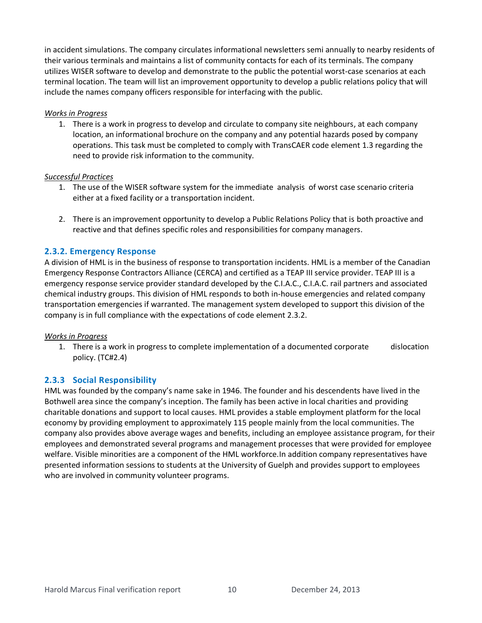in accident simulations. The company circulates informational newsletters semi annually to nearby residents of their various terminals and maintains a list of community contacts for each of its terminals. The company utilizes WISER software to develop and demonstrate to the public the potential worst-case scenarios at each terminal location. The team will list an improvement opportunity to develop a public relations policy that will include the names company officers responsible for interfacing with the public.

#### *Works in Progress*

1. There is a work in progress to develop and circulate to company site neighbours, at each company location, an informational brochure on the company and any potential hazards posed by company operations. This task must be completed to comply with TransCAER code element 1.3 regarding the need to provide risk information to the community.

#### *Successful Practices*

- 1. The use of the WISER software system for the immediate analysis of worst case scenario criteria either at a fixed facility or a transportation incident.
- 2. There is an improvement opportunity to develop a Public Relations Policy that is both proactive and reactive and that defines specific roles and responsibilities for company managers.

#### **2.3.2. Emergency Response**

A division of HML is in the business of response to transportation incidents. HML is a member of the Canadian Emergency Response Contractors Alliance (CERCA) and certified as a TEAP III service provider. TEAP III is a emergency response service provider standard developed by the C.I.A.C., C.I.A.C. rail partners and associated chemical industry groups. This division of HML responds to both in-house emergencies and related company transportation emergencies if warranted. The management system developed to support this division of the company is in full compliance with the expectations of code element 2.3.2.

#### *Works in Progress*

1. There is a work in progress to complete implementation of a documented corporate dislocation policy. (TC#2.4)

#### **2.3.3 Social Responsibility**

HML was founded by the company's name sake in 1946. The founder and his descendents have lived in the Bothwell area since the company's inception. The family has been active in local charities and providing charitable donations and support to local causes. HML provides a stable employment platform for the local economy by providing employment to approximately 115 people mainly from the local communities. The company also provides above average wages and benefits, including an employee assistance program, for their employees and demonstrated several programs and management processes that were provided for employee welfare. Visible minorities are a component of the HML workforce.In addition company representatives have presented information sessions to students at the University of Guelph and provides support to employees who are involved in community volunteer programs.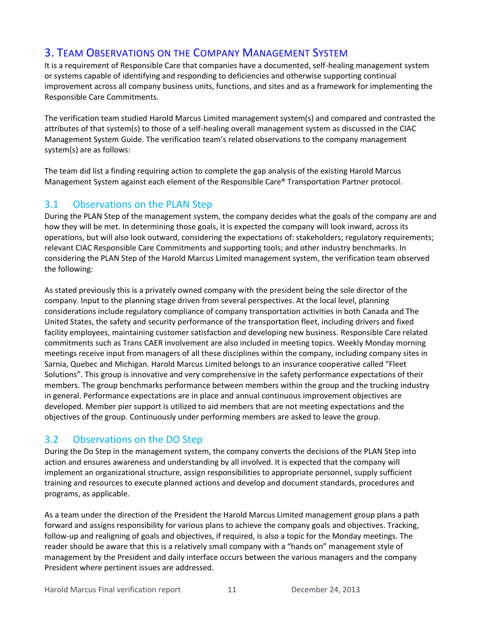# 3. TEAM OBSERVATIONS ON THE COMPANY MANAGEMENT SYSTEM

It is a requirement of Responsible Care that companies have a documented, self-healing management system or systems capable of identifying and responding to deficiencies and otherwise supporting continual improvement across all company business units, functions, and sites and as a framework for implementing the Responsible Care Commitments.

The verification team studied Harold Marcus Limited management system(s) and compared and contrasted the attributes of that system(s) to those of a self-healing overall management system as discussed in the CIAC Management System Guide. The verification team's related observations to the company management system(s) are as follows:

The team did list a finding requiring action to complete the gap analysis of the existing Harold Marcus Management System against each element of the Responsible Care® Transportation Partner protocol.

## 3.1 Observations on the PLAN Step

During the PLAN Step of the management system, the company decides what the goals of the company are and how they will be met. In determining those goals, it is expected the company will look inward, across its operations, but will also look outward, considering the expectations of: stakeholders; regulatory requirements; relevant CIAC Responsible Care Commitments and supporting tools; and other industry benchmarks. In considering the PLAN Step of the Harold Marcus Limited management system, the verification team observed the following:

As stated previously this is a privately owned company with the president being the sole director of the company. Input to the planning stage driven from several perspectives. At the local level, planning considerations include regulatory compliance of company transportation activities in both Canada and The United States, the safety and security performance of the transportation fleet, including drivers and fixed facility employees, maintaining customer satisfaction and developing new business. Responsible Care related commitments such as Trans CAER involvement are also included in meeting topics. Weekly Monday morning meetings receive input from managers of all these disciplines within the company, including company sites in Sarnia, Quebec and Michigan. Harold Marcus Limited belongs to an insurance cooperative called "Fleet Solutions". This group is innovative and very comprehensive in the safety performance expectations of their members. The group benchmarks performance between members within the group and the trucking industry in general. Performance expectations are in place and annual continuous improvement objectives are developed. Member pier support is utilized to aid members that are not meeting expectations and the objectives of the group. Continuously under performing members are asked to leave the group.

## 3.2 Observations on the DO Step

During the Do Step in the management system, the company converts the decisions of the PLAN Step into action and ensures awareness and understanding by all involved. It is expected that the company will implement an organizational structure, assign responsibilities to appropriate personnel, supply sufficient training and resources to execute planned actions and develop and document standards, procedures and programs, as applicable.

As a team under the direction of the President the Harold Marcus Limited management group plans a path forward and assigns responsibility for various plans to achieve the company goals and objectives. Tracking, follow-up and realigning of goals and objectives, if required, is also a topic for the Monday meetings. The reader should be aware that this is a relatively small company with a "hands on" management style of management by the President and daily interface occurs between the various managers and the company President where pertinent issues are addressed.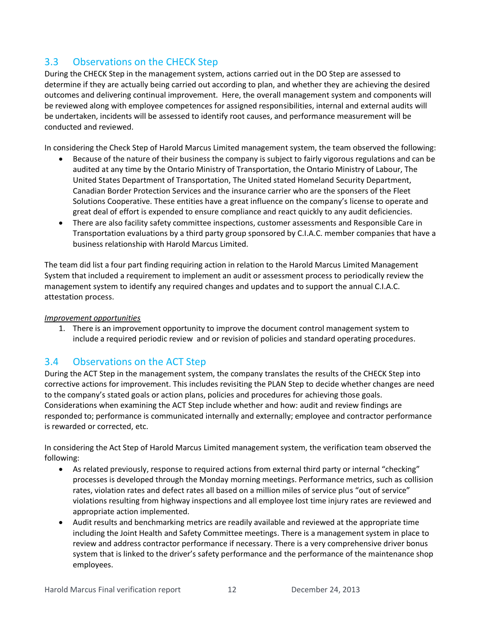# 3.3 Observations on the CHECK Step

During the CHECK Step in the management system, actions carried out in the DO Step are assessed to determine if they are actually being carried out according to plan, and whether they are achieving the desired outcomes and delivering continual improvement. Here, the overall management system and components will be reviewed along with employee competences for assigned responsibilities, internal and external audits will be undertaken, incidents will be assessed to identify root causes, and performance measurement will be conducted and reviewed.

In considering the Check Step of Harold Marcus Limited management system, the team observed the following:

- Because of the nature of their business the company is subject to fairly vigorous regulations and can be audited at any time by the Ontario Ministry of Transportation, the Ontario Ministry of Labour, The United States Department of Transportation, The United stated Homeland Security Department, Canadian Border Protection Services and the insurance carrier who are the sponsers of the Fleet Solutions Cooperative. These entities have a great influence on the company's license to operate and great deal of effort is expended to ensure compliance and react quickly to any audit deficiencies.
- There are also facility safety committee inspections, customer assessments and Responsible Care in Transportation evaluations by a third party group sponsored by C.I.A.C. member companies that have a business relationship with Harold Marcus Limited.

The team did list a four part finding requiring action in relation to the Harold Marcus Limited Management System that included a requirement to implement an audit or assessment process to periodically review the management system to identify any required changes and updates and to support the annual C.I.A.C. attestation process.

### *Improvement opportunities*

1. There is an improvement opportunity to improve the document control management system to include a required periodic review and or revision of policies and standard operating procedures.

## 3.4 Observations on the ACT Step

During the ACT Step in the management system, the company translates the results of the CHECK Step into corrective actions for improvement. This includes revisiting the PLAN Step to decide whether changes are need to the company's stated goals or action plans, policies and procedures for achieving those goals. Considerations when examining the ACT Step include whether and how: audit and review findings are responded to; performance is communicated internally and externally; employee and contractor performance is rewarded or corrected, etc.

In considering the Act Step of Harold Marcus Limited management system, the verification team observed the following:

- As related previously, response to required actions from external third party or internal "checking" processes is developed through the Monday morning meetings. Performance metrics, such as collision rates, violation rates and defect rates all based on a million miles of service plus "out of service" violations resulting from highway inspections and all employee lost time injury rates are reviewed and appropriate action implemented.
- Audit results and benchmarking metrics are readily available and reviewed at the appropriate time including the Joint Health and Safety Committee meetings. There is a management system in place to review and address contractor performance if necessary. There is a very comprehensive driver bonus system that is linked to the driver's safety performance and the performance of the maintenance shop employees.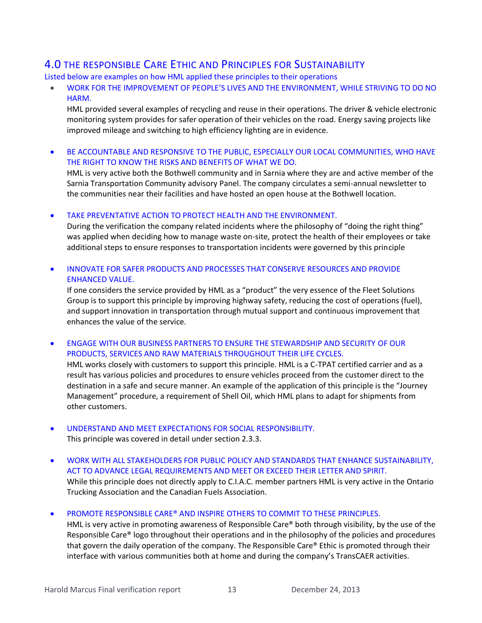# 4.0 THE RESPONSIBLE CARE ETHIC AND PRINCIPLES FOR SUSTAINABILITY

Listed below are examples on how HML applied these principles to their operations

• WORK FOR THE IMPROVEMENT OF PEOPLE'S LIVES AND THE ENVIRONMENT, WHILE STRIVING TO DO NO HARM.

HML provided several examples of recycling and reuse in their operations. The driver & vehicle electronic monitoring system provides for safer operation of their vehicles on the road. Energy saving projects like improved mileage and switching to high efficiency lighting are in evidence.

• BE ACCOUNTABLE AND RESPONSIVE TO THE PUBLIC, ESPECIALLY OUR LOCAL COMMUNITIES, WHO HAVE THE RIGHT TO KNOW THE RISKS AND BENEFITS OF WHAT WE DO.

HML is very active both the Bothwell community and in Sarnia where they are and active member of the Sarnia Transportation Community advisory Panel. The company circulates a semi-annual newsletter to the communities near their facilities and have hosted an open house at the Bothwell location.

TAKE PREVENTATIVE ACTION TO PROTECT HEALTH AND THE ENVIRONMENT.

During the verification the company related incidents where the philosophy of "doing the right thing" was applied when deciding how to manage waste on-site, protect the health of their employees or take additional steps to ensure responses to transportation incidents were governed by this principle

• INNOVATE FOR SAFER PRODUCTS AND PROCESSES THAT CONSERVE RESOURCES AND PROVIDE ENHANCED VALUE.

If one considers the service provided by HML as a "product" the very essence of the Fleet Solutions Group is to support this principle by improving highway safety, reducing the cost of operations (fuel), and support innovation in transportation through mutual support and continuous improvement that enhances the value of the service.

• ENGAGE WITH OUR BUSINESS PARTNERS TO ENSURE THE STEWARDSHIP AND SECURITY OF OUR PRODUCTS, SERVICES AND RAW MATERIALS THROUGHOUT THEIR LIFE CYCLES.

HML works closely with customers to support this principle. HML is a C-TPAT certified carrier and as a result has various policies and procedures to ensure vehicles proceed from the customer direct to the destination in a safe and secure manner. An example of the application of this principle is the "Journey Management" procedure, a requirement of Shell Oil, which HML plans to adapt for shipments from other customers.

- UNDERSTAND AND MEET EXPECTATIONS FOR SOCIAL RESPONSIBILITY. This principle was covered in detail under section 2.3.3.
- WORK WITH ALL STAKEHOLDERS FOR PUBLIC POLICY AND STANDARDS THAT ENHANCE SUSTAINABILITY, ACT TO ADVANCE LEGAL REQUIREMENTS AND MEET OR EXCEED THEIR LETTER AND SPIRIT. While this principle does not directly apply to C.I.A.C. member partners HML is very active in the Ontario Trucking Association and the Canadian Fuels Association.
- PROMOTE RESPONSIBLE CARE® AND INSPIRE OTHERS TO COMMIT TO THESE PRINCIPLES.

HML is very active in promoting awareness of Responsible Care® both through visibility, by the use of the Responsible Care® logo throughout their operations and in the philosophy of the policies and procedures that govern the daily operation of the company. The Responsible Care® Ethic is promoted through their interface with various communities both at home and during the company's TransCAER activities.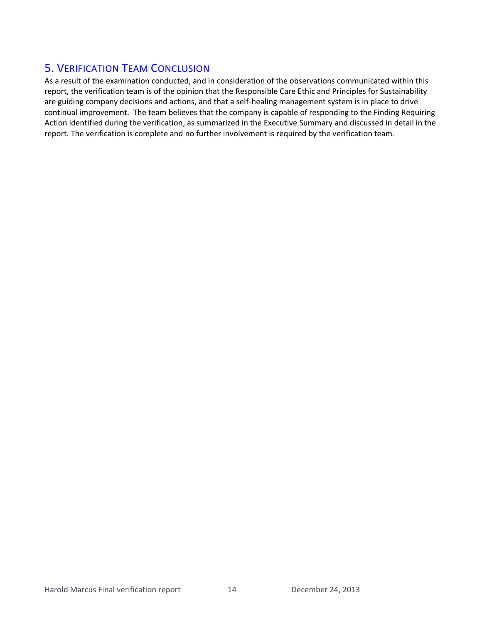# 5. VERIFICATION TEAM CONCLUSION

As a result of the examination conducted, and in consideration of the observations communicated within this report, the verification team is of the opinion that the Responsible Care Ethic and Principles for Sustainability are guiding company decisions and actions, and that a self-healing management system is in place to drive continual improvement. The team believes that the company is capable of responding to the Finding Requiring Action identified during the verification, as summarized in the Executive Summary and discussed in detail in the report. The verification is complete and no further involvement is required by the verification team.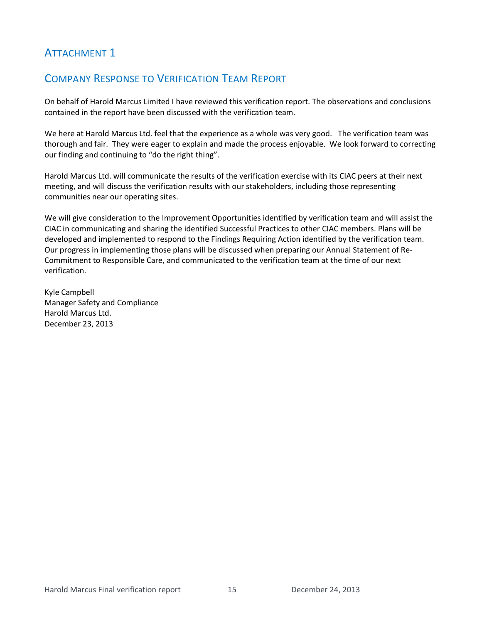# **ATTACHMENT 1**

# COMPANY RESPONSE TO VERIFICATION TEAM REPORT

On behalf of Harold Marcus Limited I have reviewed this verification report. The observations and conclusions contained in the report have been discussed with the verification team.

We here at Harold Marcus Ltd. feel that the experience as a whole was very good. The verification team was thorough and fair. They were eager to explain and made the process enjoyable. We look forward to correcting our finding and continuing to "do the right thing".

Harold Marcus Ltd. will communicate the results of the verification exercise with its CIAC peers at their next meeting, and will discuss the verification results with our stakeholders, including those representing communities near our operating sites.

We will give consideration to the Improvement Opportunities identified by verification team and will assist the CIAC in communicating and sharing the identified Successful Practices to other CIAC members. Plans will be developed and implemented to respond to the Findings Requiring Action identified by the verification team. Our progress in implementing those plans will be discussed when preparing our Annual Statement of Re-Commitment to Responsible Care, and communicated to the verification team at the time of our next verification.

Kyle Campbell Manager Safety and Compliance Harold Marcus Ltd. December 23, 2013